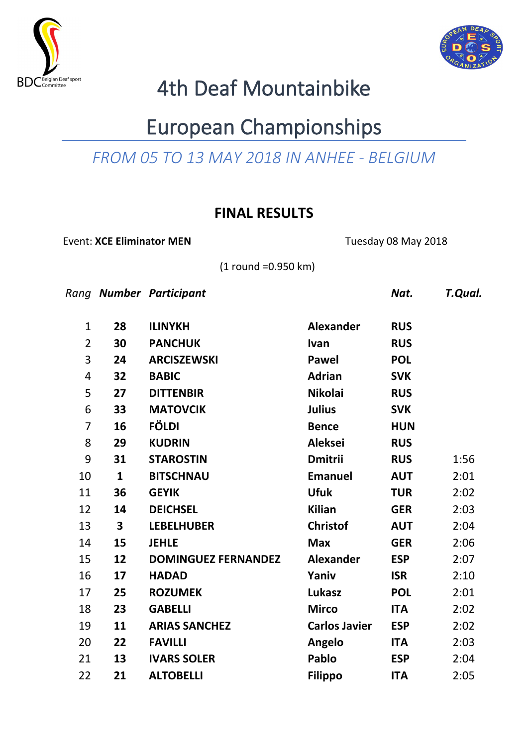



# 4th Deaf Mountainbike

## European Championships

### *FROM 05 TO 13 MAY 2018 IN ANHEE - BELGIUM*

### **FINAL RESULTS**

Event: **XCE Eliminator MEN** Tuesday 08 May 2018

(1 round =0.950 km)

*Rang Number Participant Nat. T.Qual.*

| $\mathbf 1$             | 28           | <b>ILINYKH</b>             | <b>Alexander</b>     | <b>RUS</b> |      |
|-------------------------|--------------|----------------------------|----------------------|------------|------|
| $\overline{2}$          | 30           | <b>PANCHUK</b>             | Ivan                 | <b>RUS</b> |      |
| $\mathsf{3}$            | 24           | <b>ARCISZEWSKI</b>         | Pawel                | <b>POL</b> |      |
| $\overline{\mathbf{r}}$ | 32           | <b>BABIC</b>               | <b>Adrian</b>        | <b>SVK</b> |      |
| 5                       | 27           | <b>DITTENBIR</b>           | <b>Nikolai</b>       | <b>RUS</b> |      |
| 6                       | 33           | <b>MATOVCIK</b>            | <b>Julius</b>        | <b>SVK</b> |      |
| 7                       | 16           | <b>FÖLDI</b>               | <b>Bence</b>         | <b>HUN</b> |      |
| 8                       | 29           | <b>KUDRIN</b>              | <b>Aleksei</b>       | <b>RUS</b> |      |
| 9                       | 31           | <b>STAROSTIN</b>           | <b>Dmitrii</b>       | <b>RUS</b> | 1:56 |
| 10                      | $\mathbf{1}$ | <b>BITSCHNAU</b>           | <b>Emanuel</b>       | <b>AUT</b> | 2:01 |
| 11                      | 36           | <b>GEYIK</b>               | <b>Ufuk</b>          | <b>TUR</b> | 2:02 |
| 12                      | 14           | <b>DEICHSEL</b>            | <b>Kilian</b>        | <b>GER</b> | 2:03 |
| 13                      | 3            | <b>LEBELHUBER</b>          | <b>Christof</b>      | <b>AUT</b> | 2:04 |
| 14                      | 15           | <b>JEHLE</b>               | <b>Max</b>           | <b>GER</b> | 2:06 |
| 15                      | 12           | <b>DOMINGUEZ FERNANDEZ</b> | <b>Alexander</b>     | <b>ESP</b> | 2:07 |
| 16                      | 17           | <b>HADAD</b>               | Yaniv                | <b>ISR</b> | 2:10 |
| 17                      | 25           | <b>ROZUMEK</b>             | Lukasz               | <b>POL</b> | 2:01 |
| 18                      | 23           | <b>GABELLI</b>             | <b>Mirco</b>         | <b>ITA</b> | 2:02 |
| 19                      | 11           | <b>ARIAS SANCHEZ</b>       | <b>Carlos Javier</b> | <b>ESP</b> | 2:02 |
| 20                      | 22           | <b>FAVILLI</b>             | Angelo               | <b>ITA</b> | 2:03 |
| 21                      | 13           | <b>IVARS SOLER</b>         | Pablo                | <b>ESP</b> | 2:04 |
| 22                      | 21           | <b>ALTOBELLI</b>           | <b>Filippo</b>       | <b>ITA</b> | 2:05 |